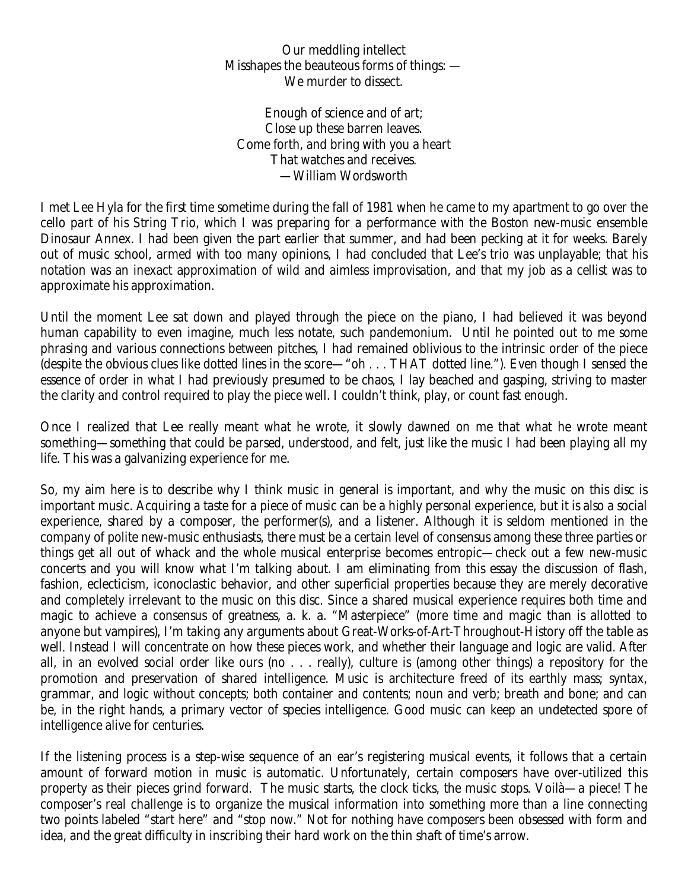Our meddling intellect Misshapes the beauteous forms of things: — We murder to dissect.

Enough of science and of art; Close up these barren leaves. Come forth, and bring with you a heart That watches and receives. —William Wordsworth

I met Lee Hyla for the first time sometime during the fall of 1981 when he came to my apartment to go over the cello part of his String Trio, which I was preparing for a performance with the Boston new-music ensemble Dinosaur Annex. I had been given the part earlier that summer, and had been pecking at it for weeks. Barely out of music school, armed with too many opinions, I had concluded that Lee's trio was unplayable; that his notation was an inexact approximation of wild and aimless improvisation, and that my job as a cellist was to approximate his approximation.

Until the moment Lee sat down and played through the piece on the piano, I had believed it was beyond human capability to even imagine, much less notate, such pandemonium. Until he pointed out to me some phrasing and various connections between pitches, I had remained oblivious to the intrinsic order of the piece (despite the obvious clues like dotted lines in the score—"oh . . . THAT dotted line."). Even though I sensed the essence of order in what I had previously presumed to be chaos, I lay beached and gasping, striving to master the clarity and control required to play the piece well. I couldn't think, play, or count fast enough.

Once I realized that Lee really meant what he wrote, it slowly dawned on me that what he wrote meant something—something that could be parsed, understood, and felt, just like the music I had been playing all my life. This was a galvanizing experience for me.

So, my aim here is to describe why I think music in general is important, and why the music on this disc is important music. Acquiring a taste for a piece of music can be a highly personal experience, but it is also a social experience, shared by a composer, the performer(s), and a listener. Although it is seldom mentioned in the company of polite new-music enthusiasts, there must be a certain level of consensus among these three parties or things get all out of whack and the whole musical enterprise becomes entropic—check out a few new-music concerts and you will know what I'm talking about. I am eliminating from this essay the discussion of flash, fashion, eclecticism, iconoclastic behavior, and other superficial properties because they are merely decorative and completely irrelevant to the music on this disc. Since a shared musical experience requires both time and magic to achieve a consensus of greatness, a. k. a. "Masterpiece" (more time and magic than is allotted to anyone but vampires), I'm taking any arguments about Great-Works-of-Art-Throughout-History off the table as well. Instead I will concentrate on how these pieces work, and whether their language and logic are valid. After all, in an evolved social order like ours (no . . . really), culture is (among other things) a repository for the promotion and preservation of shared intelligence. Music is architecture freed of its earthly mass; syntax, grammar, and logic without concepts; both container and contents; noun and verb; breath and bone; and can be, in the right hands, a primary vector of species intelligence. Good music can keep an undetected spore of intelligence alive for centuries.

If the listening process is a step-wise sequence of an ear's registering musical events, it follows that a certain amount of forward motion in music is automatic. Unfortunately, certain composers have over-utilized this property as their pieces grind forward. The music starts, the clock ticks, the music stops. Voilà—a piece! The composer's real challenge is to organize the musical information into something more than a line connecting two points labeled "start here" and "stop now." Not for nothing have composers been obsessed with form and idea, and the great difficulty in inscribing their hard work on the thin shaft of time's arrow.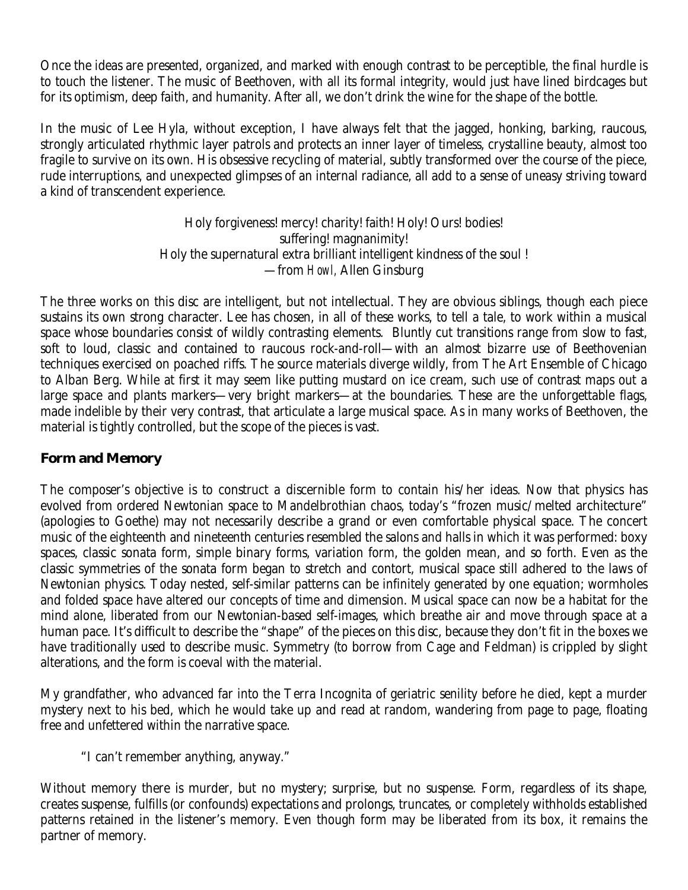Once the ideas are presented, organized, and marked with enough contrast to be perceptible, the final hurdle is to touch the listener. The music of Beethoven, with all its formal integrity, would just have lined birdcages but for its optimism, deep faith, and humanity. After all, we don't drink the wine for the shape of the bottle.

In the music of Lee Hyla, without exception, I have always felt that the jagged, honking, barking, raucous, strongly articulated rhythmic layer patrols and protects an inner layer of timeless, crystalline beauty, almost too fragile to survive on its own. His obsessive recycling of material, subtly transformed over the course of the piece, rude interruptions, and unexpected glimpses of an internal radiance, all add to a sense of uneasy striving toward a kind of transcendent experience.

> Holy forgiveness! mercy! charity! faith! Holy! Ours! bodies! suffering! magnanimity! Holy the supernatural extra brilliant intelligent kindness of the soul ! —from *Howl,* Allen Ginsburg

The three works on this disc are intelligent, but not intellectual. They are obvious siblings, though each piece sustains its own strong character. Lee has chosen, in all of these works, to tell a tale, to work within a musical space whose boundaries consist of wildly contrasting elements. Bluntly cut transitions range from slow to fast, soft to loud, classic and contained to raucous rock-and-roll—with an almost bizarre use of Beethovenian techniques exercised on poached riffs. The source materials diverge wildly, from The Art Ensemble of Chicago to Alban Berg. While at first it may seem like putting mustard on ice cream, such use of contrast maps out a large space and plants markers—very bright markers—at the boundaries. These are the unforgettable flags, made indelible by their very contrast, that articulate a large musical space. As in many works of Beethoven, the material is tightly controlled, but the scope of the pieces is vast.

# **Form and Memory**

The composer's objective is to construct a discernible form to contain his/her ideas. Now that physics has evolved from ordered Newtonian space to Mandelbrothian chaos, today's "frozen music/melted architecture" (apologies to Goethe) may not necessarily describe a grand or even comfortable physical space. The concert music of the eighteenth and nineteenth centuries resembled the salons and halls in which it was performed: boxy spaces, classic sonata form, simple binary forms, variation form, the golden mean, and so forth. Even as the classic symmetries of the sonata form began to stretch and contort, musical space still adhered to the laws of Newtonian physics. Today nested, self-similar patterns can be infinitely generated by one equation; wormholes and folded space have altered our concepts of time and dimension. Musical space can now be a habitat for the mind alone, liberated from our Newtonian-based self-images, which breathe air and move through space at a human pace. It's difficult to describe the "shape" of the pieces on this disc, because they don't fit in the boxes we have traditionally used to describe music. Symmetry (to borrow from Cage and Feldman) is crippled by slight alterations, and the form is coeval with the material.

My grandfather, who advanced far into the Terra Incognita of geriatric senility before he died, kept a murder mystery next to his bed, which he would take up and read at random, wandering from page to page, floating free and unfettered within the narrative space.

"I can't remember anything, anyway."

Without memory there is murder, but no mystery; surprise, but no suspense. Form, regardless of its shape, creates suspense, fulfills (or confounds) expectations and prolongs, truncates, or completely withholds established patterns retained in the listener's memory. Even though form may be liberated from its box, it remains the partner of memory.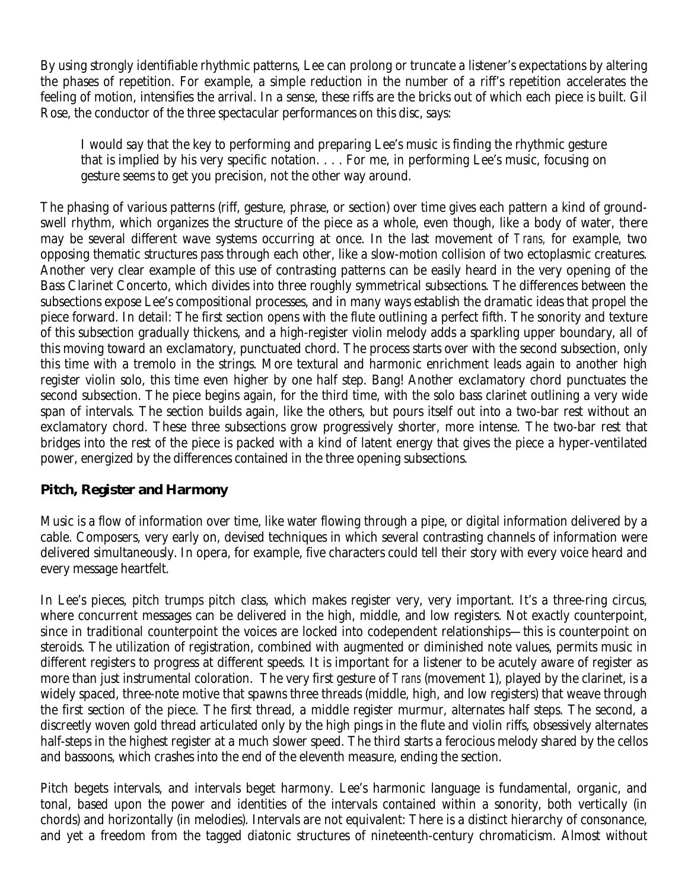By using strongly identifiable rhythmic patterns, Lee can prolong or truncate a listener's expectations by altering the phases of repetition. For example, a simple reduction in the number of a riff's repetition accelerates the feeling of motion, intensifies the arrival. In a sense, these riffs are the bricks out of which each piece is built. Gil Rose, the conductor of the three spectacular performances on this disc, says:

I would say that the key to performing and preparing Lee's music is finding the rhythmic gesture that is implied by his very specific notation. . . . For me, in performing Lee's music, focusing on gesture seems to get you precision, not the other way around.

The phasing of various patterns (riff, gesture, phrase, or section) over time gives each pattern a kind of groundswell rhythm, which organizes the structure of the piece as a whole, even though, like a body of water, there may be several different wave systems occurring at once. In the last movement of *Trans,* for example, two opposing thematic structures pass through each other, like a slow-motion collision of two ectoplasmic creatures. Another very clear example of this use of contrasting patterns can be easily heard in the very opening of the Bass Clarinet Concerto, which divides into three roughly symmetrical subsections. The differences between the subsections expose Lee's compositional processes, and in many ways establish the dramatic ideas that propel the piece forward. In detail: The first section opens with the flute outlining a perfect fifth. The sonority and texture of this subsection gradually thickens, and a high-register violin melody adds a sparkling upper boundary, all of this moving toward an exclamatory, punctuated chord. The process starts over with the second subsection, only this time with a tremolo in the strings. More textural and harmonic enrichment leads again to another high register violin solo, this time even higher by one half step. Bang! Another exclamatory chord punctuates the second subsection. The piece begins again, for the third time, with the solo bass clarinet outlining a very wide span of intervals. The section builds again, like the others, but pours itself out into a two-bar rest without an exclamatory chord. These three subsections grow progressively shorter, more intense. The two-bar rest that bridges into the rest of the piece is packed with a kind of latent energy that gives the piece a hyper-ventilated power, energized by the differences contained in the three opening subsections.

# **Pitch, Register and Harmony**

Music is a flow of information over time, like water flowing through a pipe, or digital information delivered by a cable. Composers, very early on, devised techniques in which several contrasting channels of information were delivered simultaneously. In opera, for example, five characters could tell their story with every voice heard and every message heartfelt.

In Lee's pieces, pitch trumps pitch class, which makes register very, very important. It's a three-ring circus, where concurrent messages can be delivered in the high, middle, and low registers. Not exactly counterpoint, since in traditional counterpoint the voices are locked into codependent relationships—this is counterpoint on steroids. The utilization of registration, combined with augmented or diminished note values, permits music in different registers to progress at different speeds. It is important for a listener to be acutely aware of register as more than just instrumental coloration. The very first gesture of *Trans* (movement 1), played by the clarinet, is a widely spaced, three-note motive that spawns three threads (middle, high, and low registers) that weave through the first section of the piece. The first thread, a middle register murmur, alternates half steps. The second, a discreetly woven gold thread articulated only by the high pings in the flute and violin riffs, obsessively alternates half-steps in the highest register at a much slower speed. The third starts a ferocious melody shared by the cellos and bassoons, which crashes into the end of the eleventh measure, ending the section.

Pitch begets intervals, and intervals beget harmony. Lee's harmonic language is fundamental, organic, and tonal, based upon the power and identities of the intervals contained within a sonority, both vertically (in chords) and horizontally (in melodies). Intervals are not equivalent: There is a distinct hierarchy of consonance, and yet a freedom from the tagged diatonic structures of nineteenth-century chromaticism. Almost without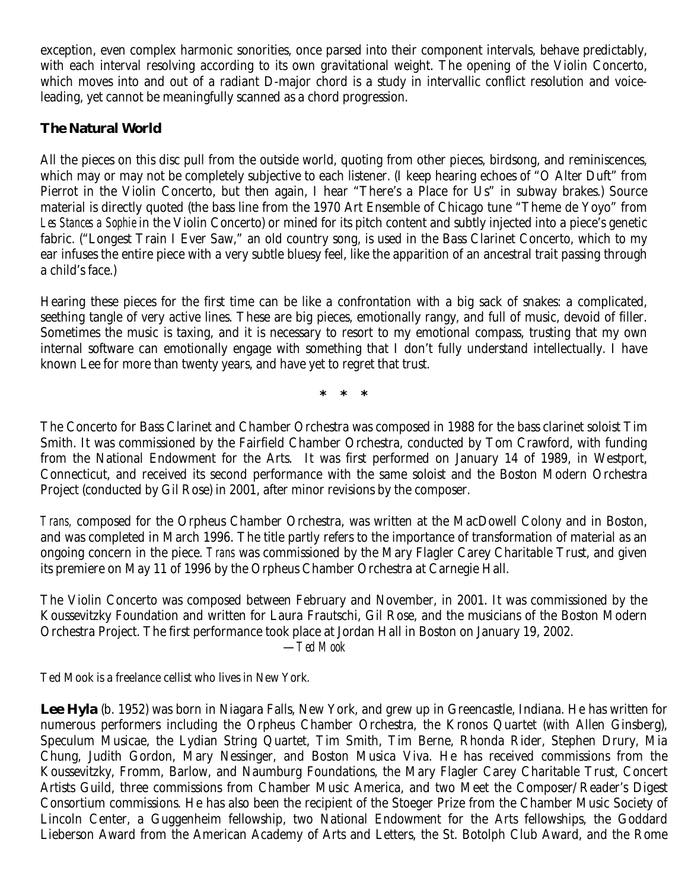exception, even complex harmonic sonorities, once parsed into their component intervals, behave predictably, with each interval resolving according to its own gravitational weight. The opening of the Violin Concerto, which moves into and out of a radiant D-major chord is a study in intervallic conflict resolution and voiceleading, yet cannot be meaningfully scanned as a chord progression.

# **The Natural World**

All the pieces on this disc pull from the outside world, quoting from other pieces, birdsong, and reminiscences, which may or may not be completely subjective to each listener. (I keep hearing echoes of "O Alter Duft" from Pierrot in the Violin Concerto, but then again, I hear "There's a Place for Us" in subway brakes.) Source material is directly quoted (the bass line from the 1970 Art Ensemble of Chicago tune "Theme de Yoyo" from *Les Stances a Sophie* in the Violin Concerto) or mined for its pitch content and subtly injected into a piece's genetic fabric. ("Longest Train I Ever Saw," an old country song, is used in the Bass Clarinet Concerto, which to my ear infuses the entire piece with a very subtle bluesy feel, like the apparition of an ancestral trait passing through a child's face.)

Hearing these pieces for the first time can be like a confrontation with a big sack of snakes: a complicated, seething tangle of very active lines. These are big pieces, emotionally rangy, and full of music, devoid of filler. Sometimes the music is taxing, and it is necessary to resort to my emotional compass, trusting that my own internal software can emotionally engage with something that I don't fully understand intellectually. I have known Lee for more than twenty years, and have yet to regret that trust.

**\* \* \*** 

The Concerto for Bass Clarinet and Chamber Orchestra was composed in 1988 for the bass clarinet soloist Tim Smith. It was commissioned by the Fairfield Chamber Orchestra, conducted by Tom Crawford, with funding from the National Endowment for the Arts. It was first performed on January 14 of 1989, in Westport, Connecticut, and received its second performance with the same soloist and the Boston Modern Orchestra Project (conducted by Gil Rose) in 2001, after minor revisions by the composer.

*Trans,* composed for the Orpheus Chamber Orchestra, was written at the MacDowell Colony and in Boston, and was completed in March 1996. The title partly refers to the importance of transformation of material as an ongoing concern in the piece. *Trans* was commissioned by the Mary Flagler Carey Charitable Trust, and given its premiere on May 11 of 1996 by the Orpheus Chamber Orchestra at Carnegie Hall.

The Violin Concerto was composed between February and November, in 2001. It was commissioned by the Koussevitzky Foundation and written for Laura Frautschi, Gil Rose, and the musicians of the Boston Modern Orchestra Project. The first performance took place at Jordan Hall in Boston on January 19, 2002. —*Ted Mook*

Ted Mook is a freelance cellist who lives in New York.

**Lee Hyla** (b. 1952) was born in Niagara Falls, New York, and grew up in Greencastle, Indiana. He has written for numerous performers including the Orpheus Chamber Orchestra, the Kronos Quartet (with Allen Ginsberg), Speculum Musicae, the Lydian String Quartet, Tim Smith, Tim Berne, Rhonda Rider, Stephen Drury, Mia Chung, Judith Gordon, Mary Nessinger, and Boston Musica Viva. He has received commissions from the Koussevitzky, Fromm, Barlow, and Naumburg Foundations, the Mary Flagler Carey Charitable Trust, Concert Artists Guild, three commissions from Chamber Music America, and two Meet the Composer/Reader's Digest Consortium commissions. He has also been the recipient of the Stoeger Prize from the Chamber Music Society of Lincoln Center, a Guggenheim fellowship, two National Endowment for the Arts fellowships, the Goddard Lieberson Award from the American Academy of Arts and Letters, the St. Botolph Club Award, and the Rome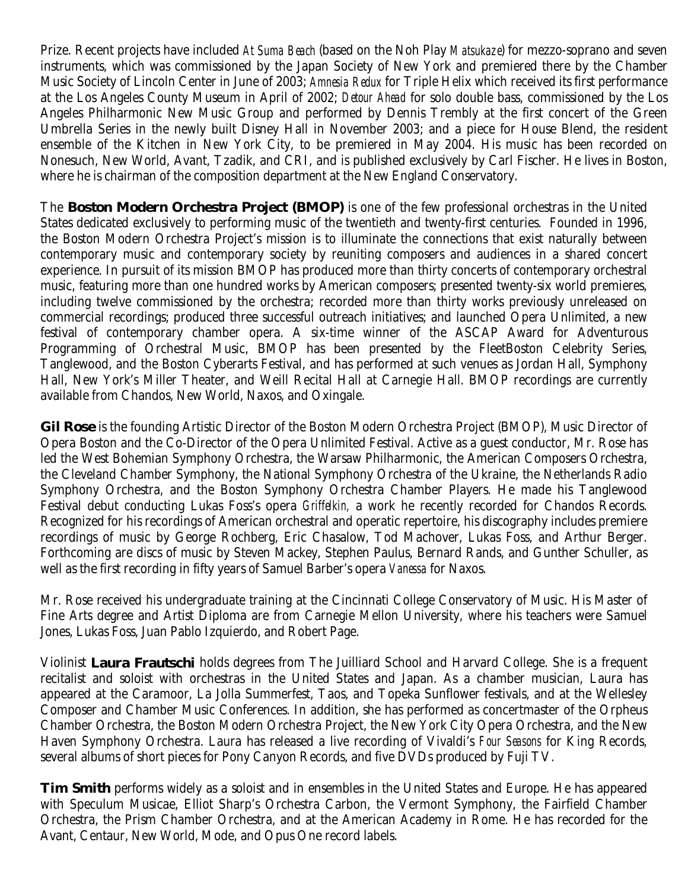Prize. Recent projects have included *At Suma Beach* (based on the Noh Play *Matsukaze*) for mezzo-soprano and seven instruments, which was commissioned by the Japan Society of New York and premiered there by the Chamber Music Society of Lincoln Center in June of 2003; *Amnesia Redux* for Triple Helix which received its first performance at the Los Angeles County Museum in April of 2002; *Detour Ahead* for solo double bass, commissioned by the Los Angeles Philharmonic New Music Group and performed by Dennis Trembly at the first concert of the Green Umbrella Series in the newly built Disney Hall in November 2003; and a piece for House Blend, the resident ensemble of the Kitchen in New York City, to be premiered in May 2004. His music has been recorded on Nonesuch, New World, Avant, Tzadik, and CRI, and is published exclusively by Carl Fischer. He lives in Boston, where he is chairman of the composition department at the New England Conservatory.

The **Boston Modern Orchestra Project (BMOP)** is one of the few professional orchestras in the United States dedicated exclusively to performing music of the twentieth and twenty-first centuries. Founded in 1996, the Boston Modern Orchestra Project's mission is to illuminate the connections that exist naturally between contemporary music and contemporary society by reuniting composers and audiences in a shared concert experience. In pursuit of its mission BMOP has produced more than thirty concerts of contemporary orchestral music, featuring more than one hundred works by American composers; presented twenty-six world premieres, including twelve commissioned by the orchestra; recorded more than thirty works previously unreleased on commercial recordings; produced three successful outreach initiatives; and launched Opera Unlimited, a new festival of contemporary chamber opera. A six-time winner of the ASCAP Award for Adventurous Programming of Orchestral Music, BMOP has been presented by the FleetBoston Celebrity Series, Tanglewood, and the Boston Cyberarts Festival, and has performed at such venues as Jordan Hall, Symphony Hall, New York's Miller Theater, and Weill Recital Hall at Carnegie Hall. BMOP recordings are currently available from Chandos, New World, Naxos, and Oxingale.

**Gil Rose** is the founding Artistic Director of the Boston Modern Orchestra Project (BMOP), Music Director of Opera Boston and the Co-Director of the Opera Unlimited Festival. Active as a guest conductor, Mr. Rose has led the West Bohemian Symphony Orchestra, the Warsaw Philharmonic, the American Composers Orchestra, the Cleveland Chamber Symphony, the National Symphony Orchestra of the Ukraine, the Netherlands Radio Symphony Orchestra, and the Boston Symphony Orchestra Chamber Players. He made his Tanglewood Festival debut conducting Lukas Foss's opera *Griffelkin,* a work he recently recorded for Chandos Records. Recognized for his recordings of American orchestral and operatic repertoire, his discography includes premiere recordings of music by George Rochberg, Eric Chasalow, Tod Machover, Lukas Foss, and Arthur Berger. Forthcoming are discs of music by Steven Mackey, Stephen Paulus, Bernard Rands, and Gunther Schuller, as well as the first recording in fifty years of Samuel Barber's opera *Vanessa* for Naxos.

Mr. Rose received his undergraduate training at the Cincinnati College Conservatory of Music. His Master of Fine Arts degree and Artist Diploma are from Carnegie Mellon University, where his teachers were Samuel Jones, Lukas Foss, Juan Pablo Izquierdo, and Robert Page.

Violinist **Laura Frautschi** holds degrees from The Juilliard School and Harvard College. She is a frequent recitalist and soloist with orchestras in the United States and Japan. As a chamber musician, Laura has appeared at the Caramoor, La Jolla Summerfest, Taos, and Topeka Sunflower festivals, and at the Wellesley Composer and Chamber Music Conferences. In addition, she has performed as concertmaster of the Orpheus Chamber Orchestra, the Boston Modern Orchestra Project, the New York City Opera Orchestra, and the New Haven Symphony Orchestra. Laura has released a live recording of Vivaldi's *Four Seasons* for King Records, several albums of short pieces for Pony Canyon Records, and five DVDs produced by Fuji TV.

**Tim Smith** performs widely as a soloist and in ensembles in the United States and Europe. He has appeared with Speculum Musicae, Elliot Sharp's Orchestra Carbon, the Vermont Symphony, the Fairfield Chamber Orchestra, the Prism Chamber Orchestra, and at the American Academy in Rome. He has recorded for the Avant, Centaur, New World, Mode, and Opus One record labels.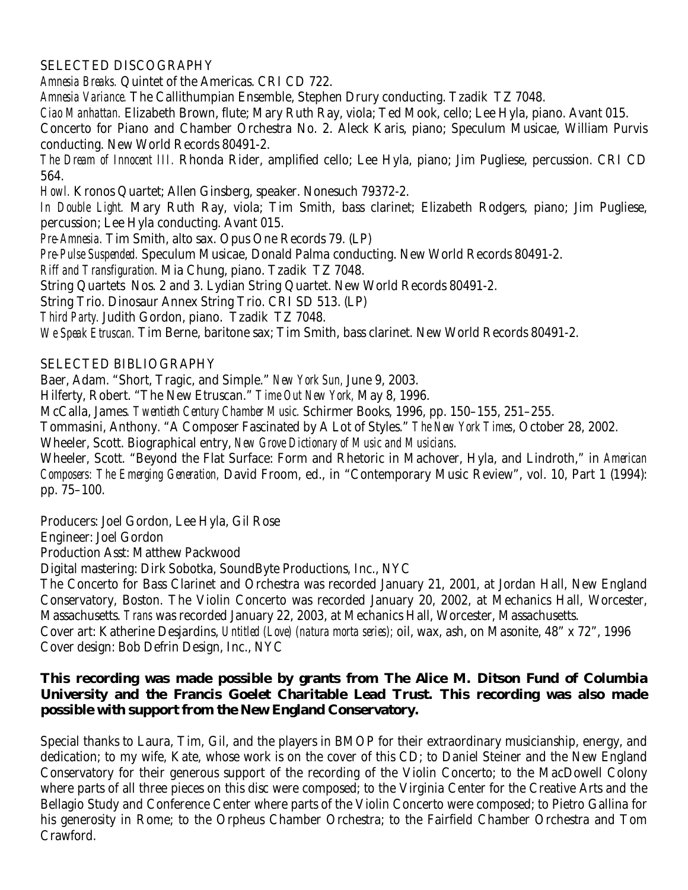### SELECTED DISCOGRAPHY

*Amnesia Breaks.* Quintet of the Americas. CRI CD 722.

*Amnesia Variance.* The Callithumpian Ensemble, Stephen Drury conducting. Tzadik TZ 7048.

*Ciao Manhattan.* Elizabeth Brown, flute; Mary Ruth Ray, viola; Ted Mook, cello; Lee Hyla, piano. Avant 015.

Concerto for Piano and Chamber Orchestra No. 2. Aleck Karis, piano; Speculum Musicae, William Purvis conducting. New World Records 80491-2.

*The Dream of Innocent III.* Rhonda Rider, amplified cello; Lee Hyla, piano; Jim Pugliese, percussion. CRI CD 564.

*Howl.* Kronos Quartet; Allen Ginsberg, speaker. Nonesuch 79372-2.

*In Double Light.* Mary Ruth Ray, viola; Tim Smith, bass clarinet; Elizabeth Rodgers, piano; Jim Pugliese, percussion; Lee Hyla conducting. Avant 015.

*Pre-Amnesia.* Tim Smith, alto sax. Opus One Records 79. (LP)

*Pre-Pulse Suspended.* Speculum Musicae, Donald Palma conducting. New World Records 80491-2.

*Riff and Transfiguration.* Mia Chung, piano. Tzadik TZ 7048.

String Quartets Nos. 2 and 3. Lydian String Quartet. New World Records 80491-2.

String Trio. Dinosaur Annex String Trio. CRI SD 513. (LP)

*Third Party.* Judith Gordon, piano. Tzadik TZ 7048.

*We Speak Etruscan.* Tim Berne, baritone sax; Tim Smith, bass clarinet. New World Records 80491-2.

## SELECTED BIBLIOGRAPHY

Baer, Adam. "Short, Tragic, and Simple." *New York Sun,* June 9, 2003.

Hilferty, Robert. "The New Etruscan." *Time Out New York,* May 8, 1996.

McCalla, James*. Twentieth Century Chamber Music.* Schirmer Books, 1996, pp. 150–155, 251–255.

Tommasini, Anthony. "A Composer Fascinated by A Lot of Styles." *The New York Times*, October 28, 2002.

Wheeler, Scott. Biographical entry, *New Grove Dictionary of Music and Musicians*.

Wheeler, Scott. "Beyond the Flat Surface: Form and Rhetoric in Machover, Hyla, and Lindroth," in *American Composers: The Emerging Generation,* David Froom, ed., in "Contemporary Music Review", vol. 10, Part 1 (1994): pp. 75–100.

Producers: Joel Gordon, Lee Hyla, Gil Rose

Engineer: Joel Gordon

Production Asst: Matthew Packwood

Digital mastering: Dirk Sobotka, SoundByte Productions, Inc., NYC

The Concerto for Bass Clarinet and Orchestra was recorded January 21, 2001, at Jordan Hall, New England Conservatory, Boston. The Violin Concerto was recorded January 20, 2002, at Mechanics Hall, Worcester, Massachusetts. *Trans* was recorded January 22, 2003, at Mechanics Hall, Worcester, Massachusetts.

Cover art: Katherine Desjardins, *Untitled (Love) (natura morta series);* oil, wax, ash, on Masonite, 48" x 72", 1996 Cover design: Bob Defrin Design, Inc., NYC

## **This recording was made possible by grants from The Alice M. Ditson Fund of Columbia University and the Francis Goelet Charitable Lead Trust. This recording was also made possible with support from the New England Conservatory.**

Special thanks to Laura, Tim, Gil, and the players in BMOP for their extraordinary musicianship, energy, and dedication; to my wife, Kate, whose work is on the cover of this CD; to Daniel Steiner and the New England Conservatory for their generous support of the recording of the Violin Concerto; to the MacDowell Colony where parts of all three pieces on this disc were composed; to the Virginia Center for the Creative Arts and the Bellagio Study and Conference Center where parts of the Violin Concerto were composed; to Pietro Gallina for his generosity in Rome; to the Orpheus Chamber Orchestra; to the Fairfield Chamber Orchestra and Tom Crawford.